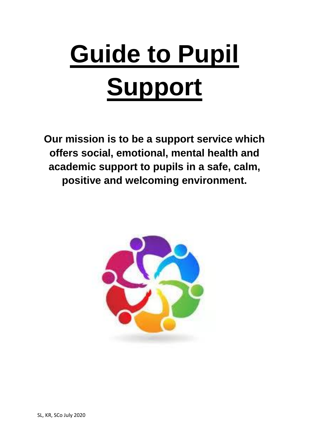# **Guide to Pupil Support**

**Our mission is to be a support service which offers social, emotional, mental health and academic support to pupils in a safe, calm, positive and welcoming environment.**

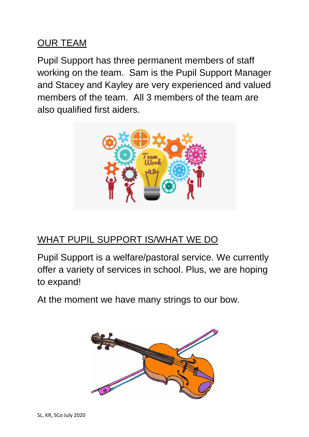#### OUR TEAM

Pupil Support has three permanent members of staff working on the team. Sam is the Pupil Support Manager and Stacey and Kayley are very experienced and valued members of the team. All 3 members of the team are also qualified first aiders.



# WHAT PUPIL SUPPORT IS/WHAT WE DO

Pupil Support is a welfare/pastoral service. We currently offer a variety of services in school. Plus, we are hoping to expand!

At the moment we have many strings to our bow.

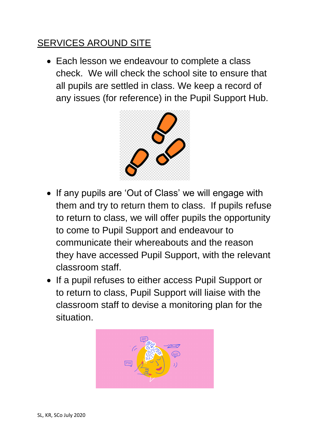## SERVICES AROUND SITE

• Each lesson we endeavour to complete a class check. We will check the school site to ensure that all pupils are settled in class. We keep a record of any issues (for reference) in the Pupil Support Hub.



- If any pupils are 'Out of Class' we will engage with them and try to return them to class. If pupils refuse to return to class, we will offer pupils the opportunity to come to Pupil Support and endeavour to communicate their whereabouts and the reason they have accessed Pupil Support, with the relevant classroom staff.
- If a pupil refuses to either access Pupil Support or to return to class, Pupil Support will liaise with the classroom staff to devise a monitoring plan for the situation.

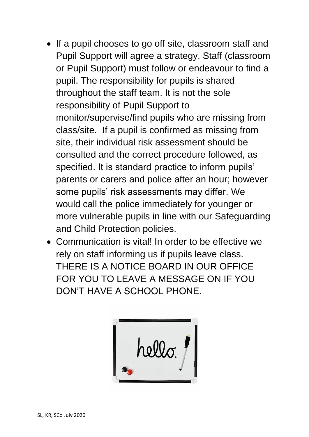- If a pupil chooses to go off site, classroom staff and Pupil Support will agree a strategy. Staff (classroom or Pupil Support) must follow or endeavour to find a pupil. The responsibility for pupils is shared throughout the staff team. It is not the sole responsibility of Pupil Support to monitor/supervise/find pupils who are missing from class/site. If a pupil is confirmed as missing from site, their individual risk assessment should be consulted and the correct procedure followed, as specified. It is standard practice to inform pupils' parents or carers and police after an hour; however some pupils' risk assessments may differ. We would call the police immediately for younger or more vulnerable pupils in line with our Safeguarding and Child Protection policies.
- Communication is vital! In order to be effective we rely on staff informing us if pupils leave class. THERE IS A NOTICE BOARD IN OUR OFFICE FOR YOU TO LEAVE A MESSAGE ON IF YOU DON'T HAVE A SCHOOL PHONE.

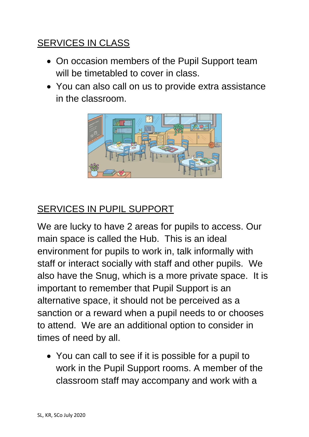## SERVICES IN CLASS

- On occasion members of the Pupil Support team will be timetabled to cover in class.
- You can also call on us to provide extra assistance in the classroom.



## SERVICES IN PUPIL SUPPORT

We are lucky to have 2 areas for pupils to access. Our main space is called the Hub. This is an ideal environment for pupils to work in, talk informally with staff or interact socially with staff and other pupils. We also have the Snug, which is a more private space. It is important to remember that Pupil Support is an alternative space, it should not be perceived as a sanction or a reward when a pupil needs to or chooses to attend. We are an additional option to consider in times of need by all.

 You can call to see if it is possible for a pupil to work in the Pupil Support rooms. A member of the classroom staff may accompany and work with a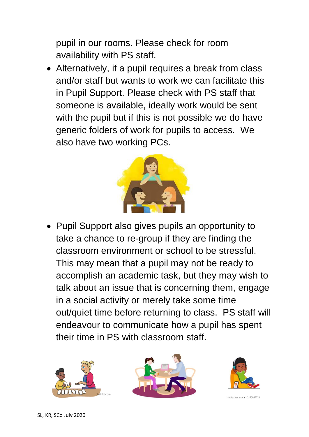pupil in our rooms. Please check for room availability with PS staff.

 Alternatively, if a pupil requires a break from class and/or staff but wants to work we can facilitate this in Pupil Support. Please check with PS staff that someone is available, ideally work would be sent with the pupil but if this is not possible we do have generic folders of work for pupils to access. We also have two working PCs.



• Pupil Support also gives pupils an opportunity to take a chance to re-group if they are finding the classroom environment or school to be stressful. This may mean that a pupil may not be ready to accomplish an academic task, but they may wish to talk about an issue that is concerning them, engage in a social activity or merely take some time out/quiet time before returning to class. PS staff will endeavour to communicate how a pupil has spent their time in PS with classroom staff.







shutterstock.com . 1101680813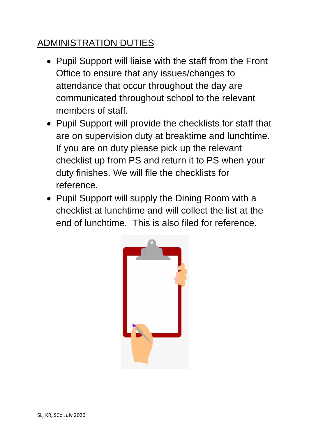## ADMINISTRATION DUTIES

- Pupil Support will liaise with the staff from the Front Office to ensure that any issues/changes to attendance that occur throughout the day are communicated throughout school to the relevant members of staff.
- Pupil Support will provide the checklists for staff that are on supervision duty at breaktime and lunchtime. If you are on duty please pick up the relevant checklist up from PS and return it to PS when your duty finishes. We will file the checklists for reference.
- Pupil Support will supply the Dining Room with a checklist at lunchtime and will collect the list at the end of lunchtime. This is also filed for reference.

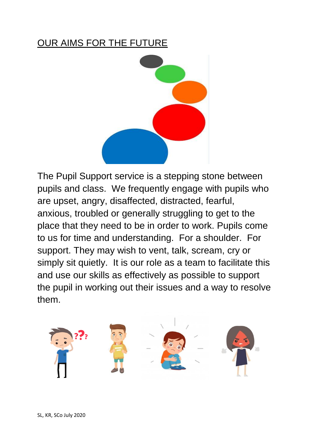#### OUR AIMS FOR THE FUTURE



The Pupil Support service is a stepping stone between pupils and class. We frequently engage with pupils who are upset, angry, disaffected, distracted, fearful, anxious, troubled or generally struggling to get to the place that they need to be in order to work. Pupils come to us for time and understanding. For a shoulder. For support. They may wish to vent, talk, scream, cry or simply sit quietly. It is our role as a team to facilitate this and use our skills as effectively as possible to support the pupil in working out their issues and a way to resolve them.

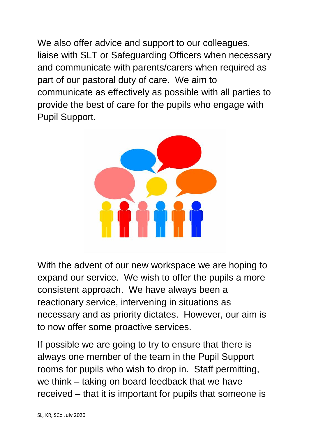We also offer advice and support to our colleagues, liaise with SLT or Safeguarding Officers when necessary and communicate with parents/carers when required as part of our pastoral duty of care. We aim to communicate as effectively as possible with all parties to provide the best of care for the pupils who engage with Pupil Support.



With the advent of our new workspace we are hoping to expand our service. We wish to offer the pupils a more consistent approach. We have always been a reactionary service, intervening in situations as necessary and as priority dictates. However, our aim is to now offer some proactive services.

If possible we are going to try to ensure that there is always one member of the team in the Pupil Support rooms for pupils who wish to drop in. Staff permitting, we think – taking on board feedback that we have received – that it is important for pupils that someone is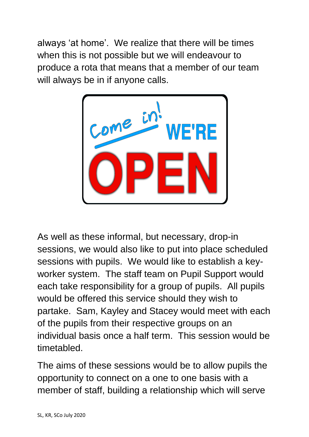always 'at home'. We realize that there will be times when this is not possible but we will endeavour to produce a rota that means that a member of our team will always be in if anyone calls.



As well as these informal, but necessary, drop-in sessions, we would also like to put into place scheduled sessions with pupils. We would like to establish a keyworker system. The staff team on Pupil Support would each take responsibility for a group of pupils. All pupils would be offered this service should they wish to partake. Sam, Kayley and Stacey would meet with each of the pupils from their respective groups on an individual basis once a half term. This session would be timetabled.

The aims of these sessions would be to allow pupils the opportunity to connect on a one to one basis with a member of staff, building a relationship which will serve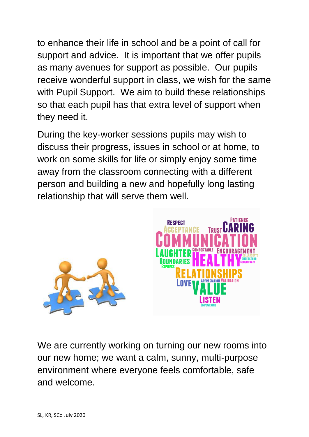to enhance their life in school and be a point of call for support and advice. It is important that we offer pupils as many avenues for support as possible. Our pupils receive wonderful support in class, we wish for the same with Pupil Support. We aim to build these relationships so that each pupil has that extra level of support when they need it.

During the key-worker sessions pupils may wish to discuss their progress, issues in school or at home, to work on some skills for life or simply enjoy some time away from the classroom connecting with a different person and building a new and hopefully long lasting relationship that will serve them well.



We are currently working on turning our new rooms into our new home; we want a calm, sunny, multi-purpose environment where everyone feels comfortable, safe and welcome.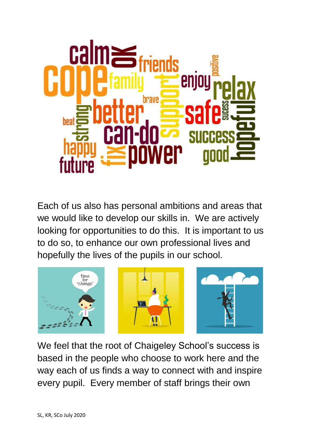

Each of us also has personal ambitions and areas that we would like to develop our skills in. We are actively looking for opportunities to do this. It is important to us to do so, to enhance our own professional lives and hopefully the lives of the pupils in our school.



We feel that the root of Chaigeley School's success is based in the people who choose to work here and the way each of us finds a way to connect with and inspire every pupil. Every member of staff brings their own